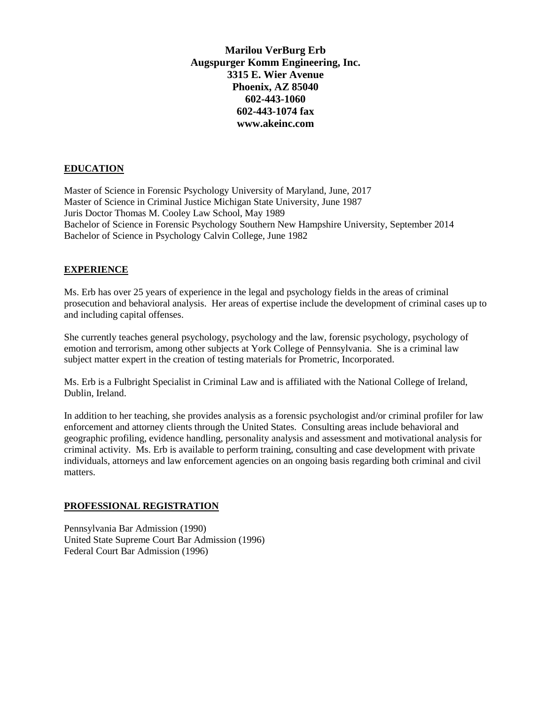**Marilou VerBurg Erb Augspurger Komm Engineering, Inc. 3315 E. Wier Avenue Phoenix, AZ 85040 602-443-1060 602-443-1074 fax www.akeinc.com**

### **EDUCATION**

Master of Science in Forensic Psychology University of Maryland, June, 2017 Master of Science in Criminal Justice Michigan State University, June 1987 Juris Doctor Thomas M. Cooley Law School, May 1989 Bachelor of Science in Forensic Psychology Southern New Hampshire University, September 2014 Bachelor of Science in Psychology Calvin College, June 1982

#### **EXPERIENCE**

Ms. Erb has over 25 years of experience in the legal and psychology fields in the areas of criminal prosecution and behavioral analysis. Her areas of expertise include the development of criminal cases up to and including capital offenses.

She currently teaches general psychology, psychology and the law, forensic psychology, psychology of emotion and terrorism, among other subjects at York College of Pennsylvania. She is a criminal law subject matter expert in the creation of testing materials for Prometric, Incorporated.

Ms. Erb is a Fulbright Specialist in Criminal Law and is affiliated with the National College of Ireland, Dublin, Ireland.

In addition to her teaching, she provides analysis as a forensic psychologist and/or criminal profiler for law enforcement and attorney clients through the United States. Consulting areas include behavioral and geographic profiling, evidence handling, personality analysis and assessment and motivational analysis for criminal activity. Ms. Erb is available to perform training, consulting and case development with private individuals, attorneys and law enforcement agencies on an ongoing basis regarding both criminal and civil matters.

### **PROFESSIONAL REGISTRATION**

Pennsylvania Bar Admission (1990) United State Supreme Court Bar Admission (1996) Federal Court Bar Admission (1996)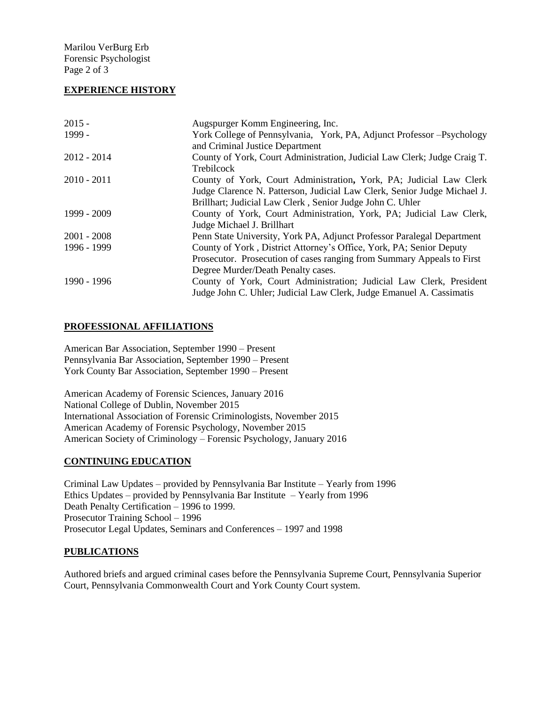Marilou VerBurg Erb Forensic Psychologist Page 2 of 3

## **EXPERIENCE HISTORY**

| $2015 -$      | Augspurger Komm Engineering, Inc.                                        |
|---------------|--------------------------------------------------------------------------|
| 1999 -        | York College of Pennsylvania, York, PA, Adjunct Professor - Psychology   |
|               | and Criminal Justice Department                                          |
| $2012 - 2014$ | County of York, Court Administration, Judicial Law Clerk; Judge Craig T. |
|               | Trebilcock                                                               |
| $2010 - 2011$ | County of York, Court Administration, York, PA; Judicial Law Clerk       |
|               | Judge Clarence N. Patterson, Judicial Law Clerk, Senior Judge Michael J. |
|               | Brillhart; Judicial Law Clerk, Senior Judge John C. Uhler                |
| 1999 - 2009   | County of York, Court Administration, York, PA; Judicial Law Clerk,      |
|               | Judge Michael J. Brillhart                                               |
| $2001 - 2008$ | Penn State University, York PA, Adjunct Professor Paralegal Department   |
| 1996 - 1999   | County of York, District Attorney's Office, York, PA; Senior Deputy      |
|               | Prosecutor. Prosecution of cases ranging from Summary Appeals to First   |
|               | Degree Murder/Death Penalty cases.                                       |
| 1990 - 1996   | County of York, Court Administration; Judicial Law Clerk, President      |
|               | Judge John C. Uhler; Judicial Law Clerk, Judge Emanuel A. Cassimatis     |

# **PROFESSIONAL AFFILIATIONS**

American Bar Association, September 1990 – Present Pennsylvania Bar Association, September 1990 – Present York County Bar Association, September 1990 – Present

American Academy of Forensic Sciences, January 2016 National College of Dublin, November 2015 International Association of Forensic Criminologists, November 2015 American Academy of Forensic Psychology, November 2015 American Society of Criminology – Forensic Psychology, January 2016

## **CONTINUING EDUCATION**

Criminal Law Updates – provided by Pennsylvania Bar Institute – Yearly from 1996 Ethics Updates – provided by Pennsylvania Bar Institute – Yearly from 1996 Death Penalty Certification – 1996 to 1999. Prosecutor Training School – 1996 Prosecutor Legal Updates, Seminars and Conferences – 1997 and 1998

## **PUBLICATIONS**

Authored briefs and argued criminal cases before the Pennsylvania Supreme Court, Pennsylvania Superior Court, Pennsylvania Commonwealth Court and York County Court system.